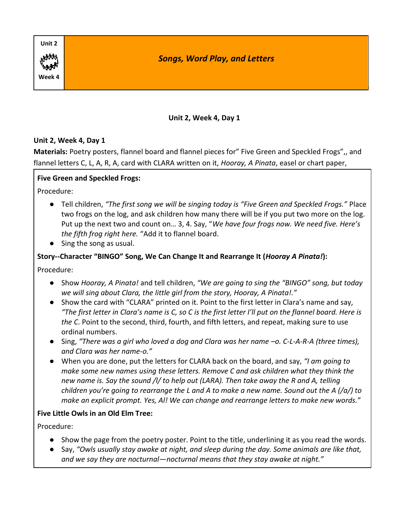

#### **Unit 2, Week 4, Day 1**

**Materials:** Poetry posters, flannel board and flannel pieces for" Five Green and Speckled Frogs",, and flannel letters C, L, A, R, A, card with CLARA written on it, *Hooray, A Pinata*, easel or chart paper,

### **Five Green and Speckled Frogs:**

Procedure:

- Tell children, *"The first song we will be singing today is "Five Green and Speckled Frogs."* Place two frogs on the log, and ask children how many there will be if you put two more on the log. Put up the next two and count on… 3, 4. Say, "*We have four frogs now. We need five. Here's the fifth frog right here.* "Add it to flannel board.
- Sing the song as usual.

### **Story--Character "BINGO" Song, We Can Change It and Rearrange It (***Hooray A Pinata!***):**

Procedure:

- Show *Hooray, A Pinata!* and tell children, *"We are going to sing the "BINGO" song, but today we will sing about Clara, the little girl from the story, Hooray, A Pinata!."*
- Show the card with "CLARA" printed on it. Point to the first letter in Clara's name and say, *"The first letter in Clara's name is C, so C is the first letter I'll put on the flannel board. Here is the C*. Point to the second, third, fourth, and fifth letters, and repeat, making sure to use ordinal numbers.
- Sing, *"There was a girl who loved a dog and Clara was her name –o. C-L-A-R-A (three times), and Clara was her name-o."*
- When you are done, put the letters for CLARA back on the board, and say, *"I am going to make some new names using these letters. Remove C and ask children what they think the new name is. Say the sound /l/ to help out (LARA). Then take away the R and A, telling children you're going to rearrange the L and A to make a new name. Sound out the A (/a/) to make an explicit prompt. Yes, Al! We can change and rearrange letters to make new words.*"

### **Five Little Owls in an Old Elm Tree:**

- Show the page from the poetry poster. Point to the title, underlining it as you read the words.
- Say, *"Owls usually stay awake at night, and sleep during the day. Some animals are like that, and we say they are nocturnal—nocturnal means that they stay awake at night."*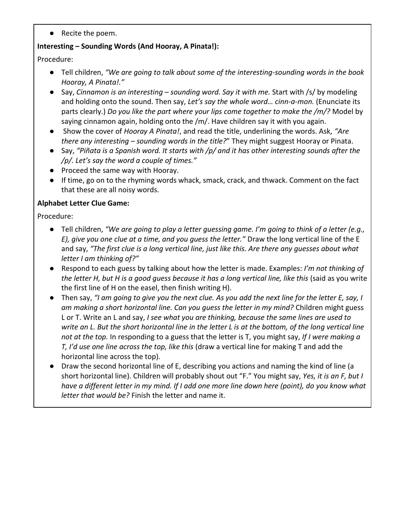● Recite the poem.

### **Interesting – Sounding Words (And Hooray, A Pinata!):**

Procedure:

- Tell children, *"We are going to talk about some of the interesting-sounding words in the book Hooray, A Pinata!."*
- Say, *Cinnamon is an interesting – sounding word. Say it with me.* Start with /s/ by modeling and holding onto the sound. Then say, *Let's say the whole word… cinn-a-mon.* (Enunciate its parts clearly.) *Do you like the part where your lips come together to make the /m/?* Model by saying cinnamon again, holding onto the /m/. Have children say it with you again.
- Show the cover of *Hooray A Pinata!*, and read the title, underlining the words. Ask, *"Are there any interesting – sounding words in the title?*" They might suggest Hooray or Pinata.
- Say, *"Piñata is a Spanish word. It starts with /p/ and it has other interesting sounds after the /p/. Let's say the word a couple of times."*
- Proceed the same way with Hooray.
- If time, go on to the rhyming words whack, smack, crack, and thwack. Comment on the fact that these are all noisy words.

# **Alphabet Letter Clue Game:**

- Tell children, *"We are going to play a letter guessing game. I'm going to think of a letter (e.g., E), give you one clue at a time, and you guess the letter."* Draw the long vertical line of the E and say, *"The first clue is a long vertical line, just like this. Are there any guesses about what letter I am thinking of?"*
- Respond to each guess by talking about how the letter is made. Examples: *I'm not thinking of the letter H, but H is a good guess because it has a long vertical line, like this* (said as you write the first line of H on the easel, then finish writing H).
- Then say, *"I am going to give you the next clue. As you add the next line for the letter E, say, I am making a short horizontal line. Can you guess the letter in my mind?* Children might guess L or T. Write an L and say, *I see what you are thinking, because the same lines are used to write an L. But the short horizontal line in the letter L is at the bottom, of the long vertical line not at the top.* In responding to a guess that the letter is T, you might say, *If I were making a T, I'd use one line across the top, like this* (draw a vertical line for making T and add the horizontal line across the top).
- Draw the second horizontal line of E, describing you actions and naming the kind of line (a short horizontal line). Children will probably shout out "F." You might say, *Yes, it is an F, but I have a different letter in my mind. If I add one more line down here (point), do you know what letter that would be?* Finish the letter and name it.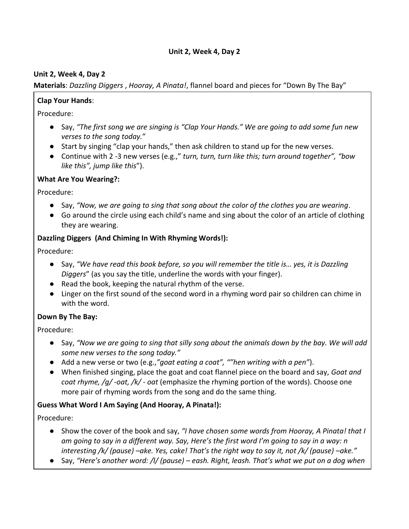#### **Unit 2, Week 4, Day 2**

### **Materials**: *Dazzling Diggers* , *Hooray, A Pinata!*, flannel board and pieces for "Down By The Bay"

### **Clap Your Hands**:

Procedure:

- Say, *"The first song we are singing is "Clap Your Hands." We are going to add some fun new verses to the song today.*"
- Start by singing "clap your hands," then ask children to stand up for the new verses.
- Continue with 2 -3 new verses (e.g.," *turn, turn, turn like this; turn around together", "bow like this", jump like this*").

### **What Are You Wearing?:**

Procedure:

- Say, *"Now, we are going to sing that song about the color of the clothes you are wearing*.
- Go around the circle using each child's name and sing about the color of an article of clothing they are wearing.

### **Dazzling Diggers (And Chiming In With Rhyming Words!):**

Procedure:

- Say, *"We have read this book before, so you will remember the title is… yes, it is Dazzling Diggers*" (as you say the title, underline the words with your finger).
- Read the book, keeping the natural rhythm of the verse.
- Linger on the first sound of the second word in a rhyming word pair so children can chime in with the word.

### **Down By The Bay:**

Procedure:

- Say, *"Now we are going to sing that silly song about the animals down by the bay. We will add some new verses to the song today."*
- Add a new verse or two (e.g.,*"goat eating a coat", ""hen writing with a pen"*).
- When finished singing, place the goat and coat flannel piece on the board and say, *Goat and coat rhyme, /g/ -oat, /k/ - oat* (emphasize the rhyming portion of the words). Choose one more pair of rhyming words from the song and do the same thing.

### **Guess What Word I Am Saying (And Hooray, A Pinata!):**

- Show the cover of the book and say, *"I have chosen some words from Hooray, A Pinata! that I am going to say in a different way. Say, Here's the first word I'm going to say in a way: n interesting /k/ (pause) –ake. Yes, cake! That's the right way to say it, not /k/ (pause) –ake."*
- Say, *"Here's another word: /l/ (pause) – eash. Right, leash. That's what we put on a dog when*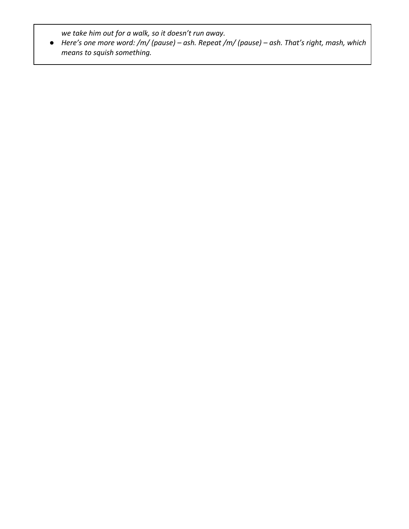*we take him out for a walk, so it doesn't run away.* 

● *Here's one more word: /m/ (pause) – ash. Repeat /m/ (pause) – ash. That's right, mash, which means to squish something.*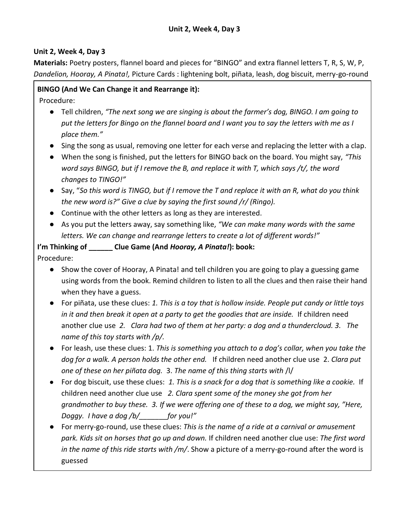**Materials:** Poetry posters, flannel board and pieces for "BINGO" and extra flannel letters T, R, S, W, P, *Dandelion, Hooray, A Pinata!,* Picture Cards : lightening bolt, piñata, leash, dog biscuit, merry-go-round

### **BINGO (And We Can Change it and Rearrange it):**

Procedure:

- Tell children, *"The next song we are singing is about the farmer's dog, BINGO. I am going to put the letters for Bingo on the flannel board and I want you to say the letters with me as I place them."*
- Sing the song as usual, removing one letter for each verse and replacing the letter with a clap.
- When the song is finished, put the letters for BINGO back on the board. You might say, *"This word says BINGO, but if I remove the B, and replace it with T, which says /t/, the word changes to TINGO!"*
- Say, "*So this word is TINGO, but if I remove the T and replace it with an R, what do you think the new word is?" Give a clue by saying the first sound /r/ (Ringo).*
- Continue with the other letters as long as they are interested.
- As you put the letters away, say something like, *"We can make many words with the same letters. We can change and rearrange letters to create a lot of different words!"*

# **I'm Thinking of \_\_\_\_\_\_ Clue Game (And** *Hooray, A Pinata!***): book:**

- Show the cover of Hooray, A Pinata! and tell children you are going to play a guessing game using words from the book. Remind children to listen to all the clues and then raise their hand when they have a guess.
- For piñata, use these clues: *1. This is a toy that is hollow inside. People put candy or little toys in it and then break it open at a party to get the goodies that are inside.* If children need another clue use *2. Clara had two of them at her party: a dog and a thundercloud. 3. The name of this toy starts with /p/.*
- For leash, use these clues: 1. *This is something you attach to a dog's collar, when you take the dog for a walk. A person holds the other end.* If children need another clue use 2. *Clara put one of these on her piñata dog.* 3. *The name of this thing starts with* /l/
- For dog biscuit, use these clues: *1. This is a snack for a dog that is something like a cookie.* If children need another clue use *2. Clara spent some of the money she got from her grandmother to buy these. 3. If we were offering one of these to a dog, we might say, "Here, Doggy. I have a dog /b/\_\_\_\_\_\_\_for you!"*
- For merry-go-round, use these clues: *This is the name of a ride at a carnival or amusement park. Kids sit on horses that go up and down.* If children need another clue use: *The first word in the name of this ride starts with /m/*. Show a picture of a merry-go-round after the word is guessed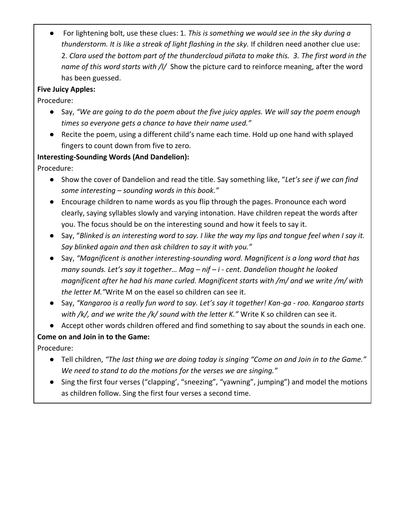● For lightening bolt, use these clues: 1. *This is something we would see in the sky during a thunderstorm. It is like a streak of light flashing in the sky.* If children need another clue use: 2. *Clara used the bottom part of the thundercloud piñata to make this. 3. The first word in the name of this word starts with /l/* Show the picture card to reinforce meaning, after the word has been guessed.

# **Five Juicy Apples:**

Procedure:

- Say, *"We are going to do the poem about the five juicy apples. We will say the poem enough times so everyone gets a chance to have their name used."*
- Recite the poem, using a different child's name each time. Hold up one hand with splayed fingers to count down from five to zero.

# **Interesting-Sounding Words (And Dandelion):**

Procedure:

- Show the cover of Dandelion and read the title. Say something like, "*Let's see if we can find some interesting – sounding words in this book."*
- Encourage children to name words as you flip through the pages. Pronounce each word clearly, saying syllables slowly and varying intonation. Have children repeat the words after you. The focus should be on the interesting sound and how it feels to say it.
- Say, "*Blinked is an interesting word to say. I like the way my lips and tongue feel when I say it. Say blinked again and then ask children to say it with you."*
- Say, *"Magnificent is another interesting-sounding word. Magnificent is a long word that has many sounds. Let's say it together… Mag – nif – i - cent. Dandelion thought he looked magnificent after he had his mane curled. Magnificent starts with /m/ and we write /m/ with the letter M."*Write M on the easel so children can see it.
- Say, *"Kangaroo is a really fun word to say. Let's say it together! Kan-ga - roo. Kangaroo starts with /k/, and we write the /k/ sound with the letter K."* Write K so children can see it.
- Accept other words children offered and find something to say about the sounds in each one.

# **Come on and Join in to the Game:**

- Tell children, *"The last thing we are doing today is singing "Come on and Join in to the Game." We need to stand to do the motions for the verses we are singing."*
- Sing the first four verses ("clapping', "sneezing", "yawning", jumping") and model the motions as children follow. Sing the first four verses a second time.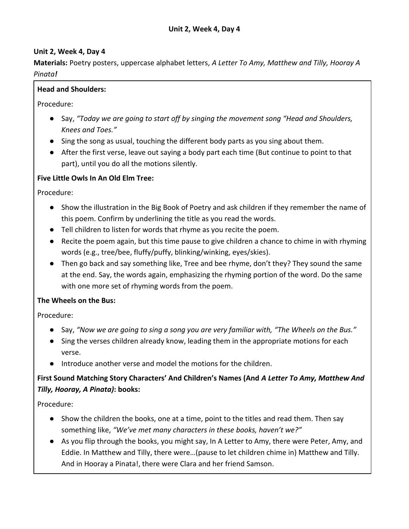**Materials:** Poetry posters, uppercase alphabet letters, *A Letter To Amy, Matthew and Tilly, Hooray A Pinata!*

### **Head and Shoulders:**

Procedure:

- Say, *"Today we are going to start off by singing the movement song "Head and Shoulders, Knees and Toes."*
- Sing the song as usual, touching the different body parts as you sing about them.
- After the first verse, leave out saying a body part each time (But continue to point to that part), until you do all the motions silently.

### **Five Little Owls In An Old Elm Tree:**

Procedure:

- Show the illustration in the Big Book of Poetry and ask children if they remember the name of this poem. Confirm by underlining the title as you read the words.
- Tell children to listen for words that rhyme as you recite the poem.
- Recite the poem again, but this time pause to give children a chance to chime in with rhyming words (e.g., tree/bee, fluffy/puffy, blinking/winking, eyes/skies).
- Then go back and say something like, Tree and bee rhyme, don't they? They sound the same at the end. Say, the words again, emphasizing the rhyming portion of the word. Do the same with one more set of rhyming words from the poem.

### **The Wheels on the Bus:**

Procedure:

- Say, *"Now we are going to sing a song you are very familiar with, "The Wheels on the Bus."*
- Sing the verses children already know, leading them in the appropriate motions for each verse.
- Introduce another verse and model the motions for the children.

# **First Sound Matching Story Characters' And Children's Names (And** *A Letter To Amy, Matthew And Tilly, Hooray, A Pinata)***: books:**

- Show the children the books, one at a time, point to the titles and read them. Then say something like, *"We've met many characters in these books, haven't we?"*
- As you flip through the books, you might say, In A Letter to Amy, there were Peter, Amy, and Eddie. In Matthew and Tilly, there were…(pause to let children chime in) Matthew and Tilly. And in Hooray a Pinata!, there were Clara and her friend Samson.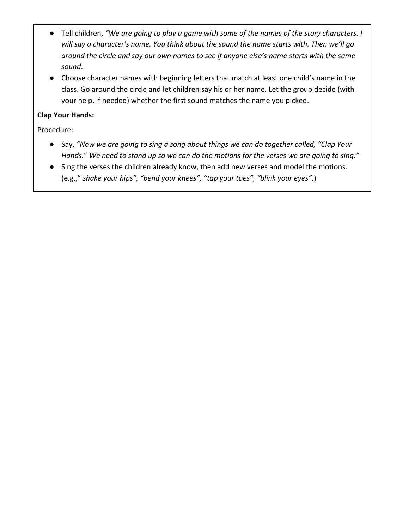- Tell children, *"We are going to play a game with some of the names of the story characters. I will say a character's name. You think about the sound the name starts with. Then we'll go around the circle and say our own names to see if anyone else's name starts with the same sound*.
- Choose character names with beginning letters that match at least one child's name in the class. Go around the circle and let children say his or her name. Let the group decide (with your help, if needed) whether the first sound matches the name you picked.

# **Clap Your Hands:**

- Say, *"Now we are going to sing a song about things we can do together called, "Clap Your Hands.*" *We need to stand up so we can do the motions for the verses we are going to sing."*
- Sing the verses the children already know, then add new verses and model the motions. (e.g.," *shake your hips", "bend your knees", "tap your toes", "blink your eyes".*)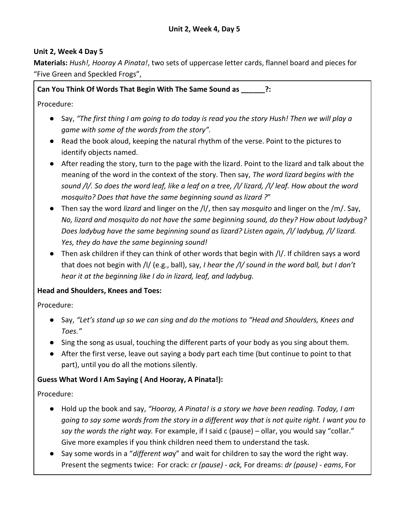**Materials:** *Hush!, Hooray A Pinata!*, two sets of uppercase letter cards, flannel board and pieces for "Five Green and Speckled Frogs",

**Can You Think Of Words That Begin With The Same Sound as \_\_\_\_\_\_?:**

Procedure:

- Say, *"The first thing I am going to do today is read you the story Hush! Then we will play a game with some of the words from the story".*
- Read the book aloud, keeping the natural rhythm of the verse. Point to the pictures to identify objects named.
- After reading the story, turn to the page with the lizard. Point to the lizard and talk about the meaning of the word in the context of the story. Then say, *The word lizard begins with the sound /l/. So does the word leaf, like a leaf on a tree, /l/ lizard, /l/ leaf. How about the word mosquito? Does that have the same beginning sound as lizard ?*"
- Then say the word *lizard* and linger on the /l/, then say *mosquito* and linger on the /m/. Say, *No, lizard and mosquito do not have the same beginning sound, do they? How about ladybug? Does ladybug have the same beginning sound as lizard? Listen again, /l/ ladybug, /l/ lizard. Yes, they do have the same beginning sound!*
- Then ask children if they can think of other words that begin with /l/. If children says a word that does not begin with /l/ (e.g., ball), say, *I hear the /l/ sound in the word ball, but I don't hear it at the beginning like I do in lizard, leaf, and ladybug.*

# **Head and Shoulders, Knees and Toes:**

Procedure:

- Say, *"Let's stand up so we can sing and do the motions to "Head and Shoulders, Knees and Toes."*
- Sing the song as usual, touching the different parts of your body as you sing about them.
- After the first verse, leave out saying a body part each time (but continue to point to that part), until you do all the motions silently.

# **Guess What Word I Am Saying ( And Hooray, A Pinata!):**

- Hold up the book and say, *"Hooray, A Pinata! is a story we have been reading. Today, I am going to say some words from the story in a different way that is not quite right. I want you to say the words the right way.* For example, if I said c (pause) – ollar, you would say "collar." Give more examples if you think children need them to understand the task.
- Say some words in a "*different wa*y" and wait for children to say the word the right way. Present the segments twice: For crack: *cr (pause) - ack,* For dreams: *dr (pause) - eams*, For